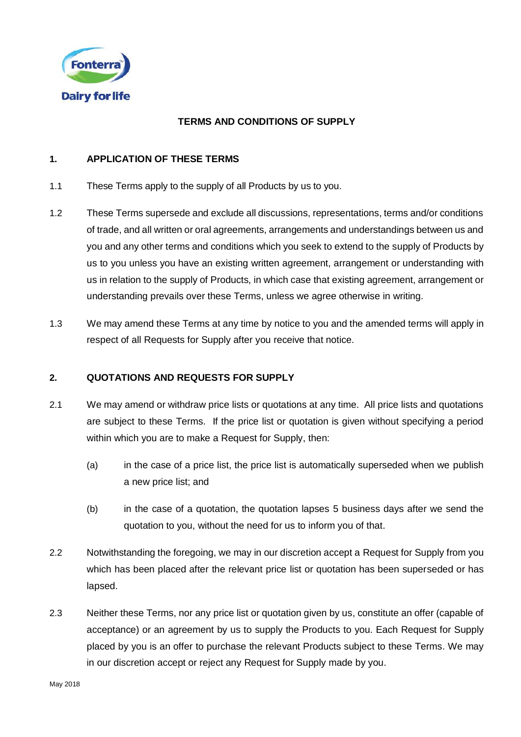

## **TERMS AND CONDITIONS OF SUPPLY**

## **1. APPLICATION OF THESE TERMS**

- 1.1 These Terms apply to the supply of all Products by us to you.
- 1.2 These Terms supersede and exclude all discussions, representations, terms and/or conditions of trade, and all written or oral agreements, arrangements and understandings between us and you and any other terms and conditions which you seek to extend to the supply of Products by us to you unless you have an existing written agreement, arrangement or understanding with us in relation to the supply of Products, in which case that existing agreement, arrangement or understanding prevails over these Terms, unless we agree otherwise in writing.
- <span id="page-0-0"></span>1.3 We may amend these Terms at any time by notice to you and the amended terms will apply in respect of all Requests for Supply after you receive that notice.

### **2. QUOTATIONS AND REQUESTS FOR SUPPLY**

- 2.1 We may amend or withdraw price lists or quotations at any time. All price lists and quotations are subject to these Terms. If the price list or quotation is given without specifying a period within which you are to make a Request for Supply, then:
	- (a) in the case of a price list, the price list is automatically superseded when we publish a new price list; and
	- (b) in the case of a quotation, the quotation lapses 5 business days after we send the quotation to you, without the need for us to inform you of that.
- 2.2 Notwithstanding the foregoing, we may in our discretion accept a Request for Supply from you which has been placed after the relevant price list or quotation has been superseded or has lapsed.
- 2.3 Neither these Terms, nor any price list or quotation given by us, constitute an offer (capable of acceptance) or an agreement by us to supply the Products to you. Each Request for Supply placed by you is an offer to purchase the relevant Products subject to these Terms. We may in our discretion accept or reject any Request for Supply made by you.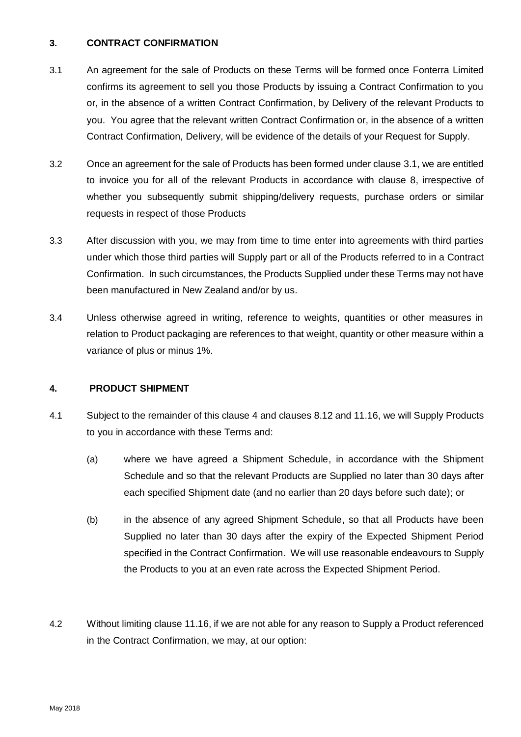### **3. CONTRACT CONFIRMATION**

- <span id="page-1-0"></span>3.1 An agreement for the sale of Products on these Terms will be formed once Fonterra Limited confirms its agreement to sell you those Products by issuing a Contract Confirmation to you or, in the absence of a written Contract Confirmation, by Delivery of the relevant Products to you. You agree that the relevant written Contract Confirmation or, in the absence of a written Contract Confirmation, Delivery, will be evidence of the details of your Request for Supply.
- 3.2 Once an agreement for the sale of Products has been formed under clause [3.1,](#page-1-0) we are entitled to invoice you for all of the relevant Products in accordance with clause 8, irrespective of whether you subsequently submit shipping/delivery requests, purchase orders or similar requests in respect of those Products
- 3.3 After discussion with you, we may from time to time enter into agreements with third parties under which those third parties will Supply part or all of the Products referred to in a Contract Confirmation. In such circumstances, the Products Supplied under these Terms may not have been manufactured in New Zealand and/or by us.
- 3.4 Unless otherwise agreed in writing, reference to weights, quantities or other measures in relation to Product packaging are references to that weight, quantity or other measure within a variance of plus or minus 1%.

### <span id="page-1-1"></span>**4. PRODUCT SHIPMENT**

- 4.1 Subject to the remainder of this clause [4](#page-1-1) and clause[s 8.12](#page-8-0) and [11.16,](#page-15-0) we will Supply Products to you in accordance with these Terms and:
	- (a) where we have agreed a Shipment Schedule, in accordance with the Shipment Schedule and so that the relevant Products are Supplied no later than 30 days after each specified Shipment date (and no earlier than 20 days before such date); or
	- (b) in the absence of any agreed Shipment Schedule, so that all Products have been Supplied no later than 30 days after the expiry of the Expected Shipment Period specified in the Contract Confirmation. We will use reasonable endeavours to Supply the Products to you at an even rate across the Expected Shipment Period.
- 4.2 Without limiting clause 11.16, if we are not able for any reason to Supply a Product referenced in the Contract Confirmation, we may, at our option: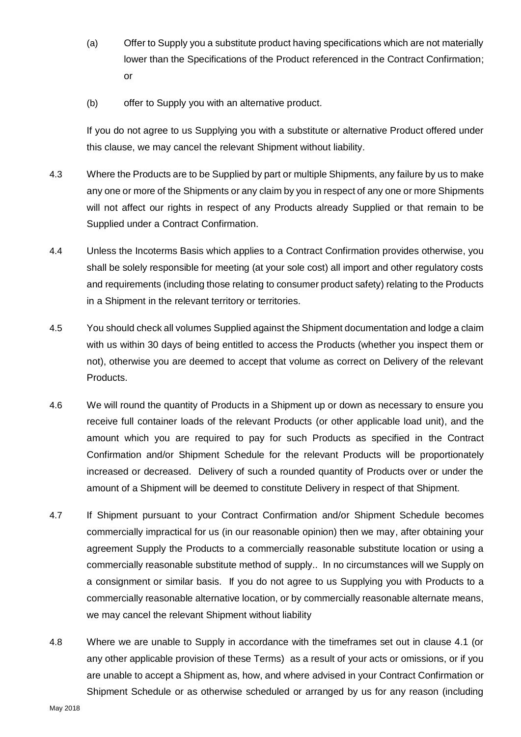- (a) Offer to Supply you a substitute product having specifications which are not materially lower than the Specifications of the Product referenced in the Contract Confirmation; or
- (b) offer to Supply you with an alternative product.

If you do not agree to us Supplying you with a substitute or alternative Product offered under this clause, we may cancel the relevant Shipment without liability.

- 4.3 Where the Products are to be Supplied by part or multiple Shipments, any failure by us to make any one or more of the Shipments or any claim by you in respect of any one or more Shipments will not affect our rights in respect of any Products already Supplied or that remain to be Supplied under a Contract Confirmation.
- 4.4 Unless the Incoterms Basis which applies to a Contract Confirmation provides otherwise, you shall be solely responsible for meeting (at your sole cost) all import and other regulatory costs and requirements (including those relating to consumer product safety) relating to the Products in a Shipment in the relevant territory or territories.
- 4.5 You should check all volumes Supplied against the Shipment documentation and lodge a claim with us within 30 days of being entitled to access the Products (whether you inspect them or not), otherwise you are deemed to accept that volume as correct on Delivery of the relevant Products.
- <span id="page-2-1"></span>4.6 We will round the quantity of Products in a Shipment up or down as necessary to ensure you receive full container loads of the relevant Products (or other applicable load unit), and the amount which you are required to pay for such Products as specified in the Contract Confirmation and/or Shipment Schedule for the relevant Products will be proportionately increased or decreased.Delivery of such a rounded quantity of Products over or under the amount of a Shipment will be deemed to constitute Delivery in respect of that Shipment.
- 4.7 If Shipment pursuant to your Contract Confirmation and/or Shipment Schedule becomes commercially impractical for us (in our reasonable opinion) then we may, after obtaining your agreement Supply the Products to a commercially reasonable substitute location or using a commercially reasonable substitute method of supply.. In no circumstances will we Supply on a consignment or similar basis. If you do not agree to us Supplying you with Products to a commercially reasonable alternative location, or by commercially reasonable alternate means, we may cancel the relevant Shipment without liability
- <span id="page-2-0"></span>4.8 Where we are unable to Supply in accordance with the timeframes set out in clause 4.1 (or any other applicable provision of these Terms) as a result of your acts or omissions, or if you are unable to accept a Shipment as, how, and where advised in your Contract Confirmation or Shipment Schedule or as otherwise scheduled or arranged by us for any reason (including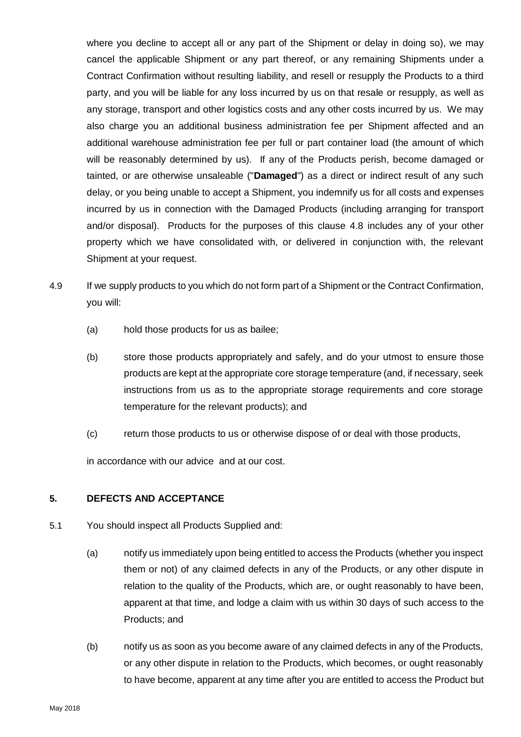where you decline to accept all or any part of the Shipment or delay in doing so), we may cancel the applicable Shipment or any part thereof, or any remaining Shipments under a Contract Confirmation without resulting liability, and resell or resupply the Products to a third party, and you will be liable for any loss incurred by us on that resale or resupply, as well as any storage, transport and other logistics costs and any other costs incurred by us. We may also charge you an additional business administration fee per Shipment affected and an additional warehouse administration fee per full or part container load (the amount of which will be reasonably determined by us). If any of the Products perish, become damaged or tainted, or are otherwise unsaleable ("**Damaged**") as a direct or indirect result of any such delay, or you being unable to accept a Shipment, you indemnify us for all costs and expenses incurred by us in connection with the Damaged Products (including arranging for transport and/or disposal). Products for the purposes of this clause [4.8](#page-2-0) includes any of your other property which we have consolidated with, or delivered in conjunction with, the relevant Shipment at your request.

- 4.9 If we supply products to you which do not form part of a Shipment or the Contract Confirmation, you will:
	- (a) hold those products for us as bailee;
	- (b) store those products appropriately and safely, and do your utmost to ensure those products are kept at the appropriate core storage temperature (and, if necessary, seek instructions from us as to the appropriate storage requirements and core storage temperature for the relevant products); and
	- (c) return those products to us or otherwise dispose of or deal with those products,

in accordance with our advice and at our cost.

### **5. DEFECTS AND ACCEPTANCE**

- 5.1 You should inspect all Products Supplied and:
	- (a) notify us immediately upon being entitled to access the Products (whether you inspect them or not) of any claimed defects in any of the Products, or any other dispute in relation to the quality of the Products, which are, or ought reasonably to have been, apparent at that time, and lodge a claim with us within 30 days of such access to the Products; and
	- (b) notify us as soon as you become aware of any claimed defects in any of the Products, or any other dispute in relation to the Products, which becomes, or ought reasonably to have become, apparent at any time after you are entitled to access the Product but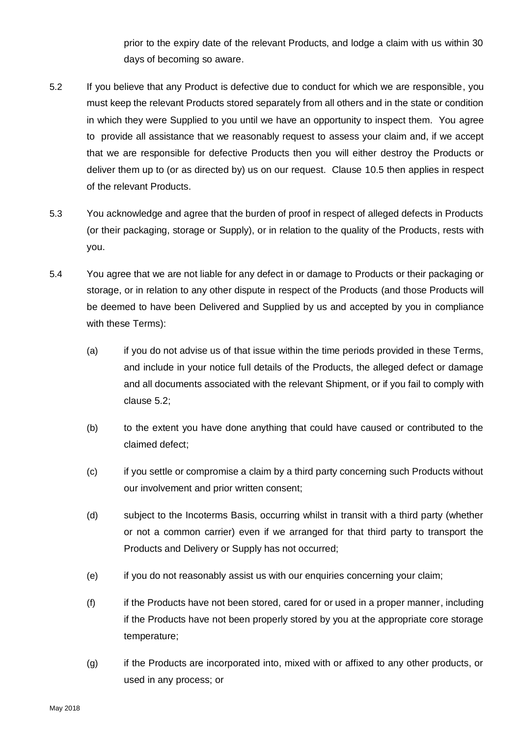prior to the expiry date of the relevant Products, and lodge a claim with us within 30 days of becoming so aware.

- <span id="page-4-0"></span>5.2 If you believe that any Product is defective due to conduct for which we are responsible, you must keep the relevant Products stored separately from all others and in the state or condition in which they were Supplied to you until we have an opportunity to inspect them. You agree to provide all assistance that we reasonably request to assess your claim and, if we accept that we are responsible for defective Products then you will either destroy the Products or deliver them up to (or as directed by) us on our request. Clause [10.5](#page-11-0) then applies in respect of the relevant Products.
- 5.3 You acknowledge and agree that the burden of proof in respect of alleged defects in Products (or their packaging, storage or Supply), or in relation to the quality of the Products, rests with you.
- 5.4 You agree that we are not liable for any defect in or damage to Products or their packaging or storage, or in relation to any other dispute in respect of the Products (and those Products will be deemed to have been Delivered and Supplied by us and accepted by you in compliance with these Terms):
	- (a) if you do not advise us of that issue within the time periods provided in these Terms, and include in your notice full details of the Products, the alleged defect or damage and all documents associated with the relevant Shipment, or if you fail to comply with clause [5.2;](#page-4-0)
	- (b) to the extent you have done anything that could have caused or contributed to the claimed defect;
	- (c) if you settle or compromise a claim by a third party concerning such Products without our involvement and prior written consent;
	- (d) subject to the Incoterms Basis, occurring whilst in transit with a third party (whether or not a common carrier) even if we arranged for that third party to transport the Products and Delivery or Supply has not occurred;
	- (e) if you do not reasonably assist us with our enquiries concerning your claim;
	- (f) if the Products have not been stored, cared for or used in a proper manner, including if the Products have not been properly stored by you at the appropriate core storage temperature;
	- (g) if the Products are incorporated into, mixed with or affixed to any other products, or used in any process; or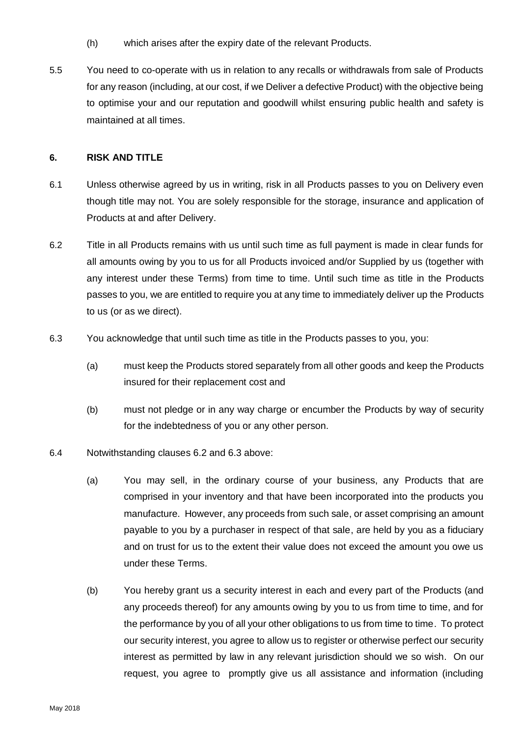- (h) which arises after the expiry date of the relevant Products.
- 5.5 You need to co-operate with us in relation to any recalls or withdrawals from sale of Products for any reason (including, at our cost, if we Deliver a defective Product) with the objective being to optimise your and our reputation and goodwill whilst ensuring public health and safety is maintained at all times.

#### **6. RISK AND TITLE**

- 6.1 Unless otherwise agreed by us in writing, risk in all Products passes to you on Delivery even though title may not. You are solely responsible for the storage, insurance and application of Products at and after Delivery.
- <span id="page-5-0"></span>6.2 Title in all Products remains with us until such time as full payment is made in clear funds for all amounts owing by you to us for all Products invoiced and/or Supplied by us (together with any interest under these Terms) from time to time. Until such time as title in the Products passes to you, we are entitled to require you at any time to immediately deliver up the Products to us (or as we direct).
- <span id="page-5-1"></span>6.3 You acknowledge that until such time as title in the Products passes to you, you:
	- (a) must keep the Products stored separately from all other goods and keep the Products insured for their replacement cost and
	- (b) must not pledge or in any way charge or encumber the Products by way of security for the indebtedness of you or any other person.
- 6.4 Notwithstanding clauses [6.2](#page-5-0) and [6.3](#page-5-1) above:
	- (a) You may sell, in the ordinary course of your business, any Products that are comprised in your inventory and that have been incorporated into the products you manufacture. However, any proceeds from such sale, or asset comprising an amount payable to you by a purchaser in respect of that sale, are held by you as a fiduciary and on trust for us to the extent their value does not exceed the amount you owe us under these Terms.
	- (b) You hereby grant us a security interest in each and every part of the Products (and any proceeds thereof) for any amounts owing by you to us from time to time, and for the performance by you of all your other obligations to us from time to time. To protect our security interest, you agree to allow us to register or otherwise perfect our security interest as permitted by law in any relevant jurisdiction should we so wish. On our request, you agree to promptly give us all assistance and information (including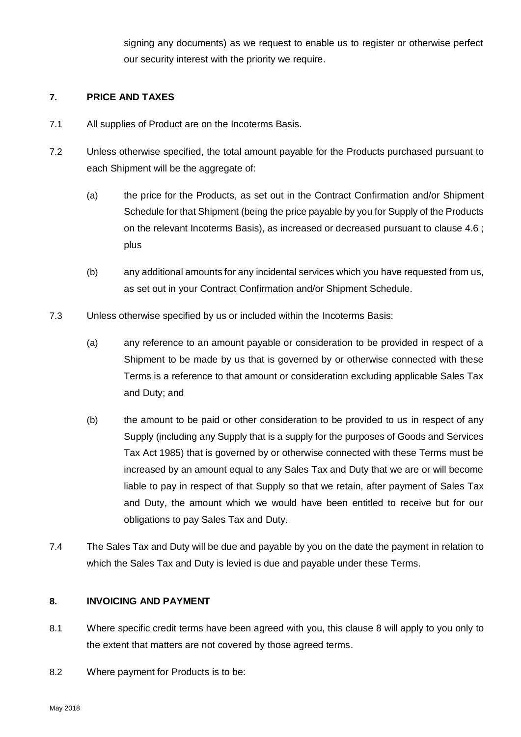signing any documents) as we request to enable us to register or otherwise perfect our security interest with the priority we require.

## **7. PRICE AND TAXES**

- 7.1 All supplies of Product are on the Incoterms Basis.
- 7.2 Unless otherwise specified, the total amount payable for the Products purchased pursuant to each Shipment will be the aggregate of:
	- (a) the price for the Products, as set out in the Contract Confirmation and/or Shipment Schedule for that Shipment (being the price payable by you for Supply of the Products on the relevant Incoterms Basis), as increased or decreased pursuant to clause [4.6](#page-2-1) ; plus
	- (b) any additional amounts for any incidental services which you have requested from us, as set out in your Contract Confirmation and/or Shipment Schedule.
- 7.3 Unless otherwise specified by us or included within the Incoterms Basis:
	- (a) any reference to an amount payable or consideration to be provided in respect of a Shipment to be made by us that is governed by or otherwise connected with these Terms is a reference to that amount or consideration excluding applicable Sales Tax and Duty; and
	- (b) the amount to be paid or other consideration to be provided to us in respect of any Supply (including any Supply that is a supply for the purposes of Goods and Services Tax Act 1985) that is governed by or otherwise connected with these Terms must be increased by an amount equal to any Sales Tax and Duty that we are or will become liable to pay in respect of that Supply so that we retain, after payment of Sales Tax and Duty, the amount which we would have been entitled to receive but for our obligations to pay Sales Tax and Duty.
- 7.4 The Sales Tax and Duty will be due and payable by you on the date the payment in relation to which the Sales Tax and Duty is levied is due and payable under these Terms.

### <span id="page-6-0"></span>**8. INVOICING AND PAYMENT**

- 8.1 Where specific credit terms have been agreed with you, this clause [8](#page-6-0) will apply to you only to the extent that matters are not covered by those agreed terms.
- 8.2 Where payment for Products is to be: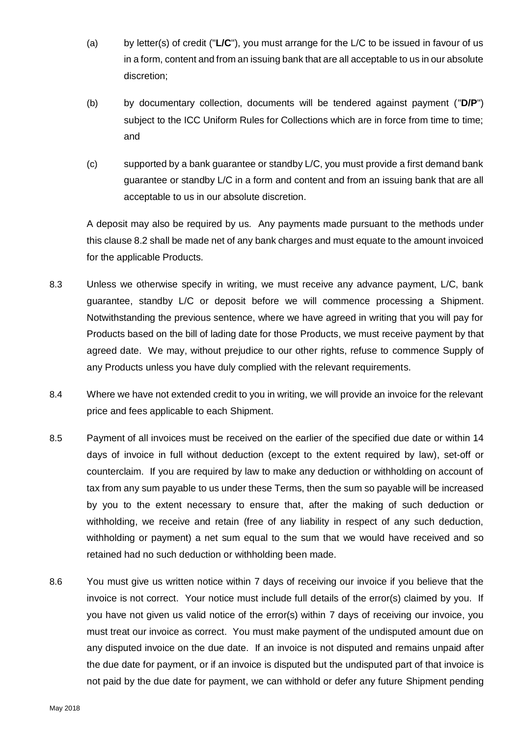- (a) by letter(s) of credit ("**L/C**"), you must arrange for the L/C to be issued in favour of us in a form, content and from an issuing bank that are all acceptable to us in our absolute discretion;
- (b) by documentary collection, documents will be tendered against payment ("**D/P**") subject to the ICC Uniform Rules for Collections which are in force from time to time; and
- (c) supported by a bank guarantee or standby L/C, you must provide a first demand bank guarantee or standby L/C in a form and content and from an issuing bank that are all acceptable to us in our absolute discretion.

A deposit may also be required by us. Any payments made pursuant to the methods under this clause 8.2 shall be made net of any bank charges and must equate to the amount invoiced for the applicable Products.

- 8.3 Unless we otherwise specify in writing, we must receive any advance payment, L/C, bank guarantee, standby L/C or deposit before we will commence processing a Shipment. Notwithstanding the previous sentence, where we have agreed in writing that you will pay for Products based on the bill of lading date for those Products, we must receive payment by that agreed date. We may, without prejudice to our other rights, refuse to commence Supply of any Products unless you have duly complied with the relevant requirements.
- 8.4 Where we have not extended credit to you in writing, we will provide an invoice for the relevant price and fees applicable to each Shipment.
- 8.5 Payment of all invoices must be received on the earlier of the specified due date or within 14 days of invoice in full without deduction (except to the extent required by law), set-off or counterclaim. If you are required by law to make any deduction or withholding on account of tax from any sum payable to us under these Terms, then the sum so payable will be increased by you to the extent necessary to ensure that, after the making of such deduction or withholding, we receive and retain (free of any liability in respect of any such deduction, withholding or payment) a net sum equal to the sum that we would have received and so retained had no such deduction or withholding been made.
- 8.6 You must give us written notice within 7 days of receiving our invoice if you believe that the invoice is not correct. Your notice must include full details of the error(s) claimed by you. If you have not given us valid notice of the error(s) within 7 days of receiving our invoice, you must treat our invoice as correct. You must make payment of the undisputed amount due on any disputed invoice on the due date. If an invoice is not disputed and remains unpaid after the due date for payment, or if an invoice is disputed but the undisputed part of that invoice is not paid by the due date for payment, we can withhold or defer any future Shipment pending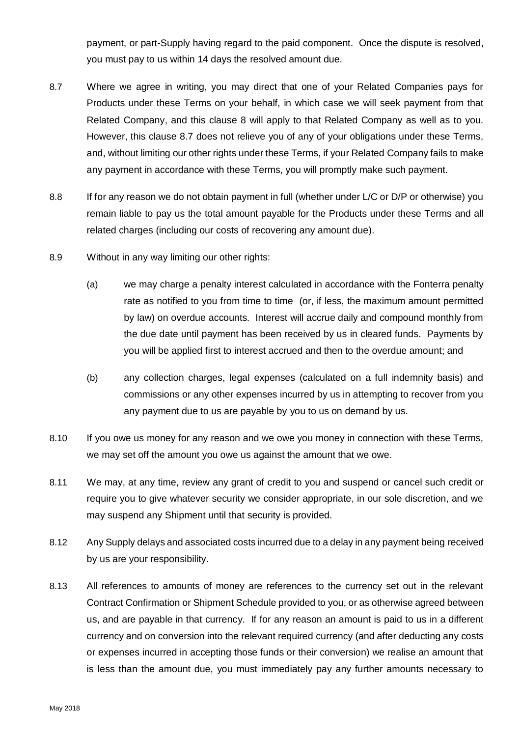payment, or part-Supply having regard to the paid component. Once the dispute is resolved, you must pay to us within 14 days the resolved amount due.

- <span id="page-8-1"></span>8.7 Where we agree in writing, you may direct that one of your Related Companies pays for Products under these Terms on your behalf, in which case we will seek payment from that Related Company, and this clause [8](#page-6-0) will apply to that Related Company as well as to you. However, this clause [8.7](#page-8-1) does not relieve you of any of your obligations under these Terms, and, without limiting our other rights under these Terms, if your Related Company fails to make any payment in accordance with these Terms, you will promptly make such payment.
- 8.8 If for any reason we do not obtain payment in full (whether under L/C or D/P or otherwise) you remain liable to pay us the total amount payable for the Products under these Terms and all related charges (including our costs of recovering any amount due).
- 8.9 Without in any way limiting our other rights:
	- (a) we may charge a penalty interest calculated in accordance with the Fonterra penalty rate as notified to you from time to time (or, if less, the maximum amount permitted by law) on overdue accounts. Interest will accrue daily and compound monthly from the due date until payment has been received by us in cleared funds. Payments by you will be applied first to interest accrued and then to the overdue amount; and
	- (b) any collection charges, legal expenses (calculated on a full indemnity basis) and commissions or any other expenses incurred by us in attempting to recover from you any payment due to us are payable by you to us on demand by us.
- 8.10 If you owe us money for any reason and we owe you money in connection with these Terms, we may set off the amount you owe us against the amount that we owe.
- 8.11 We may, at any time, review any grant of credit to you and suspend or cancel such credit or require you to give whatever security we consider appropriate, in our sole discretion, and we may suspend any Shipment until that security is provided.
- <span id="page-8-0"></span>8.12 Any Supply delays and associated costs incurred due to a delay in any payment being received by us are your responsibility.
- 8.13 All references to amounts of money are references to the currency set out in the relevant Contract Confirmation or Shipment Schedule provided to you, or as otherwise agreed between us, and are payable in that currency. If for any reason an amount is paid to us in a different currency and on conversion into the relevant required currency (and after deducting any costs or expenses incurred in accepting those funds or their conversion) we realise an amount that is less than the amount due, you must immediately pay any further amounts necessary to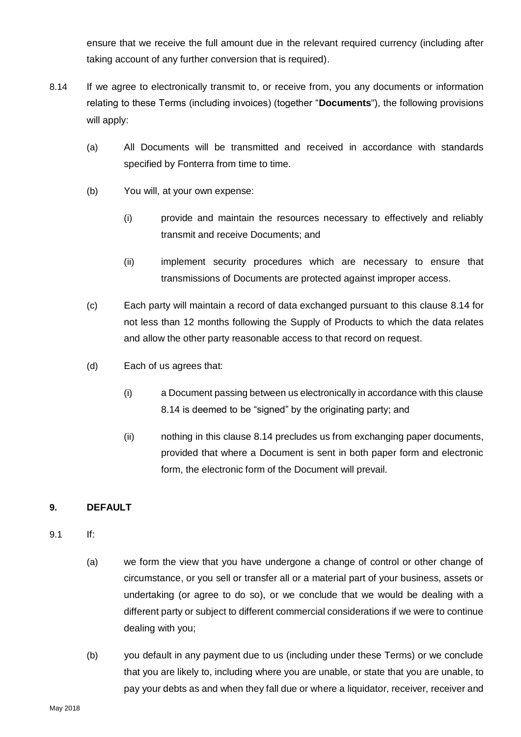ensure that we receive the full amount due in the relevant required currency (including after taking account of any further conversion that is required).

- 8.14 If we agree to electronically transmit to, or receive from, you any documents or information relating to these Terms (including invoices) (together "**Documents**"), the following provisions will apply:
	- (a) All Documents will be transmitted and received in accordance with standards specified by Fonterra from time to time.
	- (b) You will, at your own expense:
		- (i) provide and maintain the resources necessary to effectively and reliably transmit and receive Documents; and
		- (ii) implement security procedures which are necessary to ensure that transmissions of Documents are protected against improper access.
	- (c) Each party will maintain a record of data exchanged pursuant to this clause 8.14 for not less than 12 months following the Supply of Products to which the data relates and allow the other party reasonable access to that record on request.
	- (d) Each of us agrees that:
		- (i) a Document passing between us electronically in accordance with this clause 8.14 is deemed to be "signed" by the originating party; and
		- (ii) nothing in this clause 8.14 precludes us from exchanging paper documents, provided that where a Document is sent in both paper form and electronic form, the electronic form of the Document will prevail.

# <span id="page-9-0"></span>**9. DEFAULT**

- 9.1 If:
	- (a) we form the view that you have undergone a change of control or other change of circumstance, or you sell or transfer all or a material part of your business, assets or undertaking (or agree to do so), or we conclude that we would be dealing with a different party or subject to different commercial considerations if we were to continue dealing with you;
	- (b) you default in any payment due to us (including under these Terms) or we conclude that you are likely to, including where you are unable, or state that you are unable, to pay your debts as and when they fall due or where a liquidator, receiver, receiver and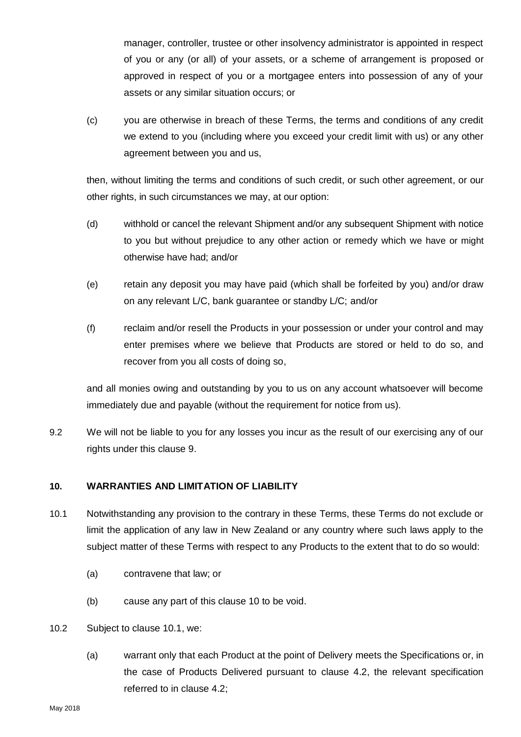manager, controller, trustee or other insolvency administrator is appointed in respect of you or any (or all) of your assets, or a scheme of arrangement is proposed or approved in respect of you or a mortgagee enters into possession of any of your assets or any similar situation occurs; or

(c) you are otherwise in breach of these Terms, the terms and conditions of any credit we extend to you (including where you exceed your credit limit with us) or any other agreement between you and us,

then, without limiting the terms and conditions of such credit, or such other agreement, or our other rights, in such circumstances we may, at our option:

- (d) withhold or cancel the relevant Shipment and/or any subsequent Shipment with notice to you but without prejudice to any other action or remedy which we have or might otherwise have had; and/or
- (e) retain any deposit you may have paid (which shall be forfeited by you) and/or draw on any relevant L/C, bank guarantee or standby L/C; and/or
- (f) reclaim and/or resell the Products in your possession or under your control and may enter premises where we believe that Products are stored or held to do so, and recover from you all costs of doing so,

and all monies owing and outstanding by you to us on any account whatsoever will become immediately due and payable (without the requirement for notice from us).

9.2 We will not be liable to you for any losses you incur as the result of our exercising any of our rights under this clause [9.](#page-9-0)

# <span id="page-10-0"></span>**10. WARRANTIES AND LIMITATION OF LIABILITY**

- <span id="page-10-1"></span>10.1 Notwithstanding any provision to the contrary in these Terms, these Terms do not exclude or limit the application of any law in New Zealand or any country where such laws apply to the subject matter of these Terms with respect to any Products to the extent that to do so would:
	- (a) contravene that law; or
	- (b) cause any part of this clause [10](#page-10-0) to be void.
- <span id="page-10-2"></span>10.2 Subject to clause [10.1,](#page-10-1) we:
	- (a) warrant only that each Product at the point of Delivery meets the Specifications or, in the case of Products Delivered pursuant to clause 4.2, the relevant specification referred to in clause 4.2;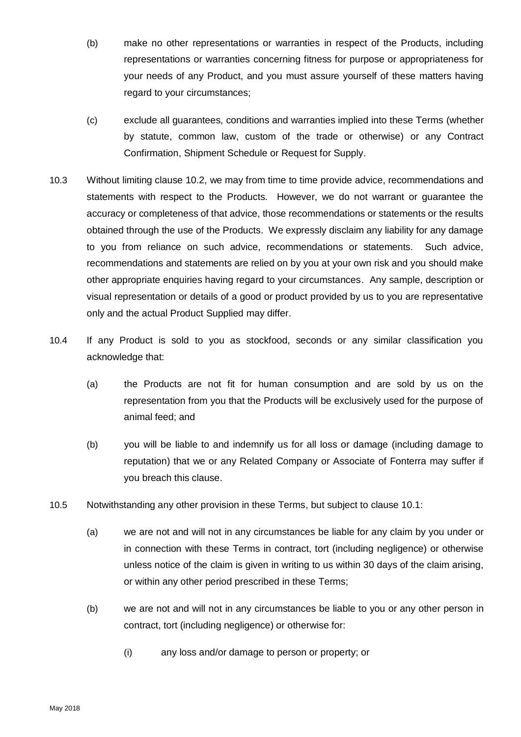- (b) make no other representations or warranties in respect of the Products, including representations or warranties concerning fitness for purpose or appropriateness for your needs of any Product, and you must assure yourself of these matters having regard to your circumstances;
- (c) exclude all guarantees, conditions and warranties implied into these Terms (whether by statute, common law, custom of the trade or otherwise) or any Contract Confirmation, Shipment Schedule or Request for Supply.
- 10.3 Without limiting clause [10.2,](#page-10-2) we may from time to time provide advice, recommendations and statements with respect to the Products. However, we do not warrant or guarantee the accuracy or completeness of that advice, those recommendations or statements or the results obtained through the use of the Products. We expressly disclaim any liability for any damage to you from reliance on such advice, recommendations or statements. Such advice, recommendations and statements are relied on by you at your own risk and you should make other appropriate enquiries having regard to your circumstances. Any sample, description or visual representation or details of a good or product provided by us to you are representative only and the actual Product Supplied may differ.
- 10.4 If any Product is sold to you as stockfood, seconds or any similar classification you acknowledge that:
	- (a) the Products are not fit for human consumption and are sold by us on the representation from you that the Products will be exclusively used for the purpose of animal feed; and
	- (b) you will be liable to and indemnify us for all loss or damage (including damage to reputation) that we or any Related Company or Associate of Fonterra may suffer if you breach this clause.
- <span id="page-11-0"></span>10.5 Notwithstanding any other provision in these Terms, but subject to clause [10.1:](#page-10-1)
	- (a) we are not and will not in any circumstances be liable for any claim by you under or in connection with these Terms in contract, tort (including negligence) or otherwise unless notice of the claim is given in writing to us within 30 days of the claim arising, or within any other period prescribed in these Terms;
	- (b) we are not and will not in any circumstances be liable to you or any other person in contract, tort (including negligence) or otherwise for:
		- (i) any loss and/or damage to person or property; or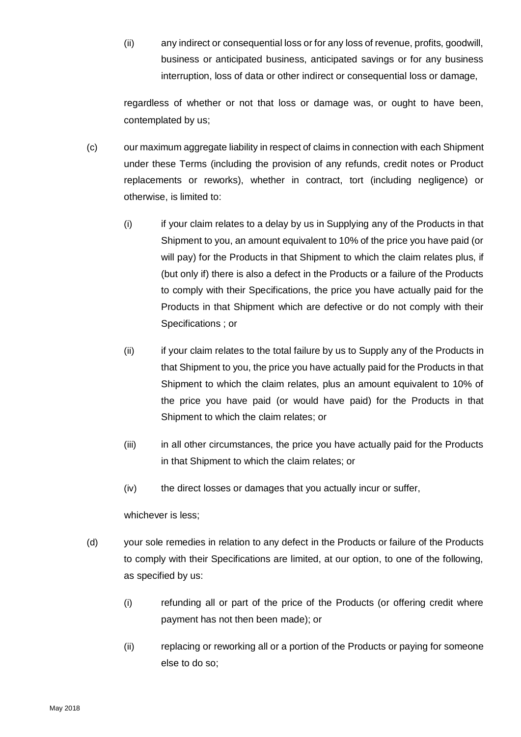(ii) any indirect or consequential loss or for any loss of revenue, profits, goodwill, business or anticipated business, anticipated savings or for any business interruption, loss of data or other indirect or consequential loss or damage,

regardless of whether or not that loss or damage was, or ought to have been, contemplated by us;

- (c) our maximum aggregate liability in respect of claims in connection with each Shipment under these Terms (including the provision of any refunds, credit notes or Product replacements or reworks), whether in contract, tort (including negligence) or otherwise, is limited to:
	- (i) if your claim relates to a delay by us in Supplying any of the Products in that Shipment to you, an amount equivalent to 10% of the price you have paid (or will pay) for the Products in that Shipment to which the claim relates plus, if (but only if) there is also a defect in the Products or a failure of the Products to comply with their Specifications, the price you have actually paid for the Products in that Shipment which are defective or do not comply with their Specifications ; or
	- (ii) if your claim relates to the total failure by us to Supply any of the Products in that Shipment to you, the price you have actually paid for the Products in that Shipment to which the claim relates, plus an amount equivalent to 10% of the price you have paid (or would have paid) for the Products in that Shipment to which the claim relates; or
	- (iii) in all other circumstances, the price you have actually paid for the Products in that Shipment to which the claim relates; or
	- (iv) the direct losses or damages that you actually incur or suffer,

whichever is less;

- (d) your sole remedies in relation to any defect in the Products or failure of the Products to comply with their Specifications are limited, at our option, to one of the following, as specified by us:
	- (i) refunding all or part of the price of the Products (or offering credit where payment has not then been made); or
	- (ii) replacing or reworking all or a portion of the Products or paying for someone else to do so;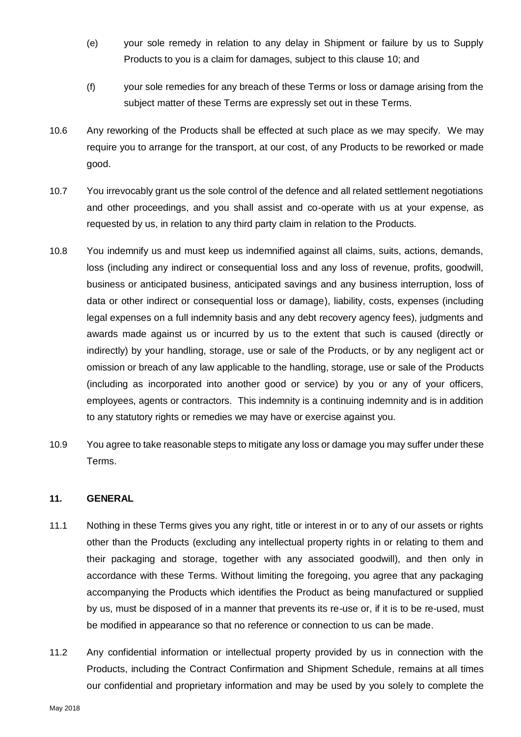- (e) your sole remedy in relation to any delay in Shipment or failure by us to Supply Products to you is a claim for damages, subject to this clause [10;](#page-10-0) and
- (f) your sole remedies for any breach of these Terms or loss or damage arising from the subject matter of these Terms are expressly set out in these Terms.
- 10.6 Any reworking of the Products shall be effected at such place as we may specify. We may require you to arrange for the transport, at our cost, of any Products to be reworked or made good.
- 10.7 You irrevocably grant us the sole control of the defence and all related settlement negotiations and other proceedings, and you shall assist and co-operate with us at your expense, as requested by us, in relation to any third party claim in relation to the Products.
- 10.8 You indemnify us and must keep us indemnified against all claims, suits, actions, demands, loss (including any indirect or consequential loss and any loss of revenue, profits, goodwill, business or anticipated business, anticipated savings and any business interruption, loss of data or other indirect or consequential loss or damage), liability, costs, expenses (including legal expenses on a full indemnity basis and any debt recovery agency fees), judgments and awards made against us or incurred by us to the extent that such is caused (directly or indirectly) by your handling, storage, use or sale of the Products, or by any negligent act or omission or breach of any law applicable to the handling, storage, use or sale of the Products (including as incorporated into another good or service) by you or any of your officers, employees, agents or contractors. This indemnity is a continuing indemnity and is in addition to any statutory rights or remedies we may have or exercise against you.
- 10.9 You agree to take reasonable steps to mitigate any loss or damage you may suffer under these Terms.

### **11. GENERAL**

- 11.1 Nothing in these Terms gives you any right, title or interest in or to any of our assets or rights other than the Products (excluding any intellectual property rights in or relating to them and their packaging and storage, together with any associated goodwill), and then only in accordance with these Terms. Without limiting the foregoing, you agree that any packaging accompanying the Products which identifies the Product as being manufactured or supplied by us, must be disposed of in a manner that prevents its re-use or, if it is to be re-used, must be modified in appearance so that no reference or connection to us can be made.
- 11.2 Any confidential information or intellectual property provided by us in connection with the Products, including the Contract Confirmation and Shipment Schedule, remains at all times our confidential and proprietary information and may be used by you solely to complete the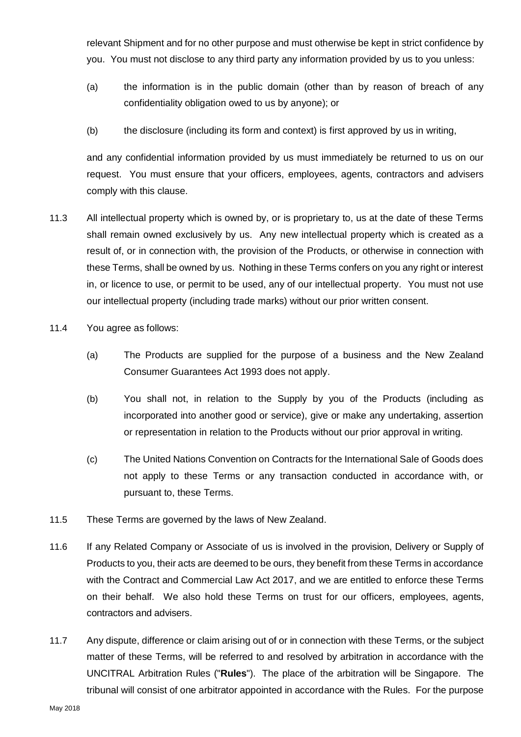relevant Shipment and for no other purpose and must otherwise be kept in strict confidence by you. You must not disclose to any third party any information provided by us to you unless:

- (a) the information is in the public domain (other than by reason of breach of any confidentiality obligation owed to us by anyone); or
- (b) the disclosure (including its form and context) is first approved by us in writing,

and any confidential information provided by us must immediately be returned to us on our request. You must ensure that your officers, employees, agents, contractors and advisers comply with this clause.

- 11.3 All intellectual property which is owned by, or is proprietary to, us at the date of these Terms shall remain owned exclusively by us. Any new intellectual property which is created as a result of, or in connection with, the provision of the Products, or otherwise in connection with these Terms, shall be owned by us. Nothing in these Terms confers on you any right or interest in, or licence to use, or permit to be used, any of our intellectual property. You must not use our intellectual property (including trade marks) without our prior written consent.
- 11.4 You agree as follows:
	- (a) The Products are supplied for the purpose of a business and the New Zealand Consumer Guarantees Act 1993 does not apply.
	- (b) You shall not, in relation to the Supply by you of the Products (including as incorporated into another good or service), give or make any undertaking, assertion or representation in relation to the Products without our prior approval in writing.
	- (c) The United Nations Convention on Contracts for the International Sale of Goods does not apply to these Terms or any transaction conducted in accordance with, or pursuant to, these Terms.
- 11.5 These Terms are governed by the laws of New Zealand.
- 11.6 If any Related Company or Associate of us is involved in the provision, Delivery or Supply of Products to you, their acts are deemed to be ours, they benefit from these Terms in accordance with the Contract and Commercial Law Act 2017, and we are entitled to enforce these Terms on their behalf. We also hold these Terms on trust for our officers, employees, agents, contractors and advisers.
- 11.7 Any dispute, difference or claim arising out of or in connection with these Terms, or the subject matter of these Terms, will be referred to and resolved by arbitration in accordance with the UNCITRAL Arbitration Rules ("**Rules**"). The place of the arbitration will be Singapore. The tribunal will consist of one arbitrator appointed in accordance with the Rules. For the purpose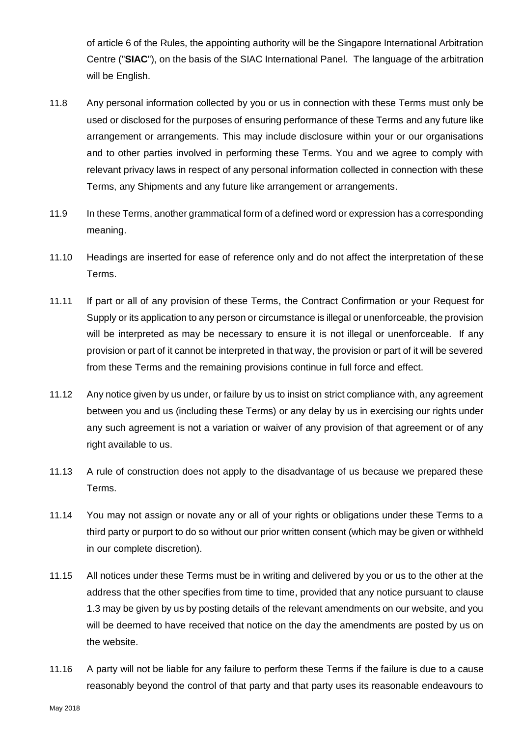of article 6 of the Rules, the appointing authority will be the Singapore International Arbitration Centre ("**SIAC**"), on the basis of the SIAC International Panel. The language of the arbitration will be English.

- 11.8 Any personal information collected by you or us in connection with these Terms must only be used or disclosed for the purposes of ensuring performance of these Terms and any future like arrangement or arrangements. This may include disclosure within your or our organisations and to other parties involved in performing these Terms. You and we agree to comply with relevant privacy laws in respect of any personal information collected in connection with these Terms, any Shipments and any future like arrangement or arrangements.
- 11.9 In these Terms, another grammatical form of a defined word or expression has a corresponding meaning.
- 11.10 Headings are inserted for ease of reference only and do not affect the interpretation of these Terms.
- 11.11 If part or all of any provision of these Terms, the Contract Confirmation or your Request for Supply or its application to any person or circumstance is illegal or unenforceable, the provision will be interpreted as may be necessary to ensure it is not illegal or unenforceable. If any provision or part of it cannot be interpreted in that way, the provision or part of it will be severed from these Terms and the remaining provisions continue in full force and effect.
- 11.12 Any notice given by us under, or failure by us to insist on strict compliance with, any agreement between you and us (including these Terms) or any delay by us in exercising our rights under any such agreement is not a variation or waiver of any provision of that agreement or of any right available to us.
- 11.13 A rule of construction does not apply to the disadvantage of us because we prepared these Terms.
- 11.14 You may not assign or novate any or all of your rights or obligations under these Terms to a third party or purport to do so without our prior written consent (which may be given or withheld in our complete discretion).
- 11.15 All notices under these Terms must be in writing and delivered by you or us to the other at the address that the other specifies from time to time, provided that any notice pursuant to clause [1.3](#page-0-0) may be given by us by posting details of the relevant amendments on our website, and you will be deemed to have received that notice on the day the amendments are posted by us on the website.
- <span id="page-15-0"></span>11.16 A party will not be liable for any failure to perform these Terms if the failure is due to a cause reasonably beyond the control of that party and that party uses its reasonable endeavours to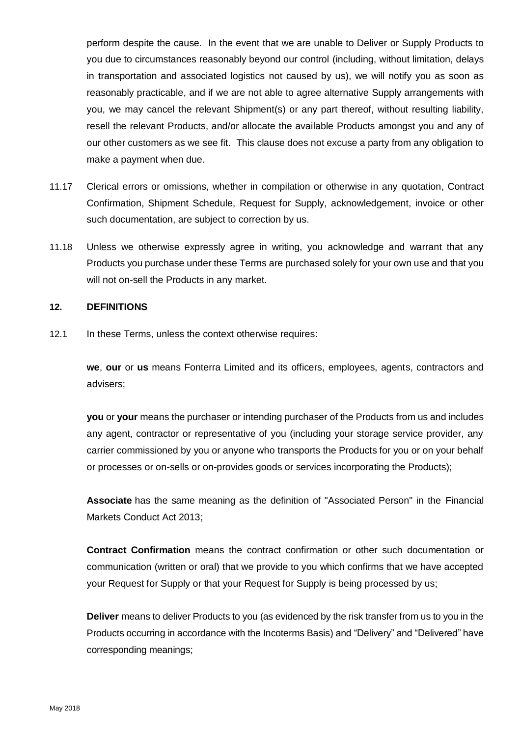perform despite the cause. In the event that we are unable to Deliver or Supply Products to you due to circumstances reasonably beyond our control (including, without limitation, delays in transportation and associated logistics not caused by us), we will notify you as soon as reasonably practicable, and if we are not able to agree alternative Supply arrangements with you, we may cancel the relevant Shipment(s) or any part thereof, without resulting liability, resell the relevant Products, and/or allocate the available Products amongst you and any of our other customers as we see fit. This clause does not excuse a party from any obligation to make a payment when due.

- 11.17 Clerical errors or omissions, whether in compilation or otherwise in any quotation, Contract Confirmation, Shipment Schedule, Request for Supply, acknowledgement, invoice or other such documentation, are subject to correction by us.
- 11.18 Unless we otherwise expressly agree in writing, you acknowledge and warrant that any Products you purchase under these Terms are purchased solely for your own use and that you will not on-sell the Products in any market.

#### **12. DEFINITIONS**

12.1 In these Terms, unless the context otherwise requires:

**we**, **our** or **us** means Fonterra Limited and its officers, employees, agents, contractors and advisers;

**you** or **your** means the purchaser or intending purchaser of the Products from us and includes any agent, contractor or representative of you (including your storage service provider, any carrier commissioned by you or anyone who transports the Products for you or on your behalf or processes or on-sells or on-provides goods or services incorporating the Products);

**Associate** has the same meaning as the definition of "Associated Person" in the Financial Markets Conduct Act 2013;

**Contract Confirmation** means the contract confirmation or other such documentation or communication (written or oral) that we provide to you which confirms that we have accepted your Request for Supply or that your Request for Supply is being processed by us;

**Deliver** means to deliver Products to you (as evidenced by the risk transfer from us to you in the Products occurring in accordance with the Incoterms Basis) and "Delivery" and "Delivered" have corresponding meanings;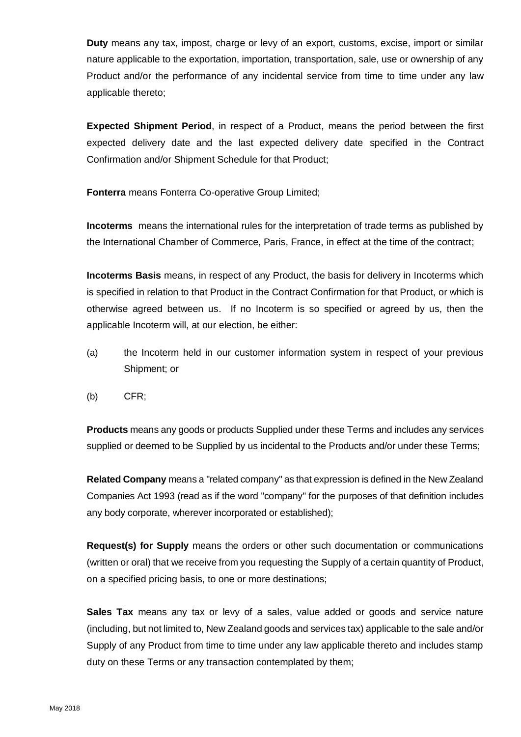**Duty** means any tax, impost, charge or levy of an export, customs, excise, import or similar nature applicable to the exportation, importation, transportation, sale, use or ownership of any Product and/or the performance of any incidental service from time to time under any law applicable thereto;

**Expected Shipment Period**, in respect of a Product, means the period between the first expected delivery date and the last expected delivery date specified in the Contract Confirmation and/or Shipment Schedule for that Product;

**Fonterra** means Fonterra Co-operative Group Limited;

**Incoterms** means the international rules for the interpretation of trade terms as published by the International Chamber of Commerce, Paris, France, in effect at the time of the contract;

**Incoterms Basis** means, in respect of any Product, the basis for delivery in Incoterms which is specified in relation to that Product in the Contract Confirmation for that Product, or which is otherwise agreed between us. If no Incoterm is so specified or agreed by us, then the applicable Incoterm will, at our election, be either:

- (a) the Incoterm held in our customer information system in respect of your previous Shipment; or
- (b) CFR;

**Products** means any goods or products Supplied under these Terms and includes any services supplied or deemed to be Supplied by us incidental to the Products and/or under these Terms;

**Related Company** means a "related company" as that expression is defined in the New Zealand Companies Act 1993 (read as if the word "company" for the purposes of that definition includes any body corporate, wherever incorporated or established);

**Request(s) for Supply** means the orders or other such documentation or communications (written or oral) that we receive from you requesting the Supply of a certain quantity of Product, on a specified pricing basis, to one or more destinations;

**Sales Tax** means any tax or levy of a sales, value added or goods and service nature (including, but not limited to, New Zealand goods and services tax) applicable to the sale and/or Supply of any Product from time to time under any law applicable thereto and includes stamp duty on these Terms or any transaction contemplated by them;